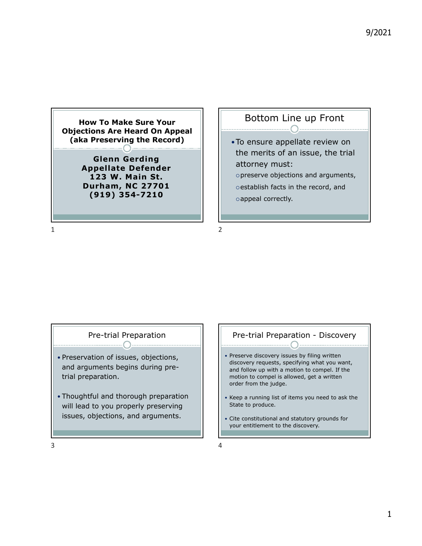

**Durham, NC 27701 (919) 354-7210**

#### Bottom Line up Front

To ensure appellate review on the merits of an issue, the trial attorney must: preserve objections and arguments, o establish facts in the record, and

o appeal correctly.

1 2

#### Pre-trial Preparation  $\cap$

- Preservation of issues, objections, and arguments begins during pretrial preparation.
- Thoughtful and thorough preparation will lead to you properly preserving issues, objections, and arguments.

#### Pre-trial Preparation - Discovery

- Preserve discovery issues by filing written discovery requests, specifying what you want, and follow up with a motion to compel. If the motion to compel is allowed, get a written order from the judge.
- Keep a running list of items you need to ask the State to produce.
- Cite constitutional and statutory grounds for your entitlement to the discovery.

 $3<sup>4</sup>$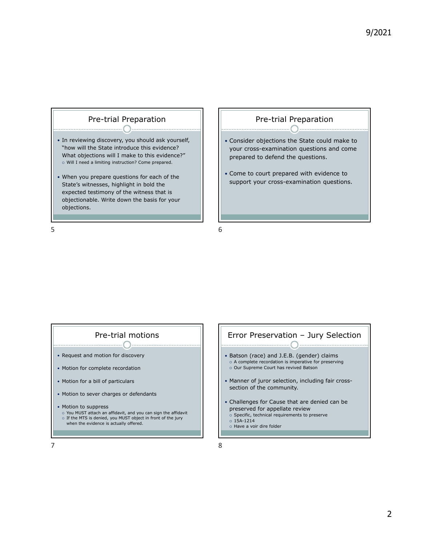

#### Pre-trial Preparation

- Consider objections the State could make to your cross-examination questions and come prepared to defend the questions.
- Come to court prepared with evidence to support your cross-examination questions.

#### Pre-trial motions

- Request and motion for discovery
- Motion for complete recordation
- Motion for a bill of particulars
- Motion to sever charges or defendants
- Motion to suppress
- You MUST attach an affidavit, and you can sign the affidavit o If the MTS is denied, you MUST object in front of the jury when the evidence is actually offered.

# Error Preservation – Jury Selection

- Batson (race) and J.E.B. (gender) claims o A complete recordation is imperative for preserving
- o Our Supreme Court has revived Batson
- Manner of juror selection, including fair crosssection of the community.
- Challenges for Cause that are denied can be preserved for appellate review
- $\circ$  Specific, technical requirements to preserve
- $0.15A-1214$
- o Have a voir dire folder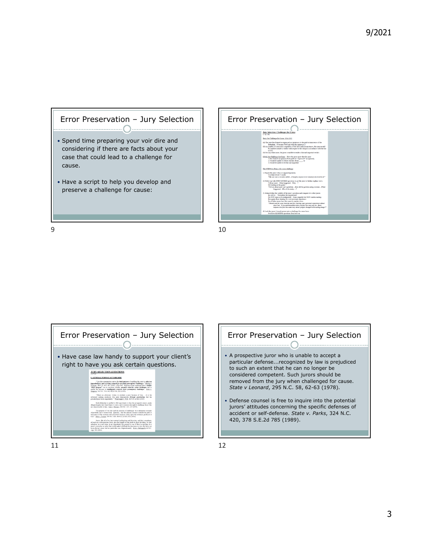







jurors' attitudes concerning the specific defenses of accident or self-defense. *State v. Parks*, 324 N.C. 420, 378 S.E.2d 785 (1989).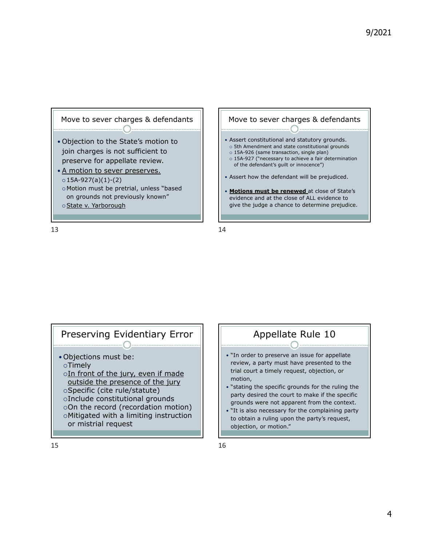



### Preserving Evidentiary Error

- Objections must be: Timely
	- $\circ$ In front of the jury, even if made outside the presence of the jury Specific (cite rule/statute)
	- Include constitutional grounds
	- On the record (recordation motion)
	- Mitigated with a limiting instruction or mistrial request
	-

### Appellate Rule 10

- . "In order to preserve an issue for appellate review, a party must have presented to the trial court a timely request, objection, or motion,
- "stating the specific grounds for the ruling the party desired the court to make if the specific grounds were not apparent from the context.
- "It is also necessary for the complaining party to obtain a ruling upon the party's request, objection, or motion."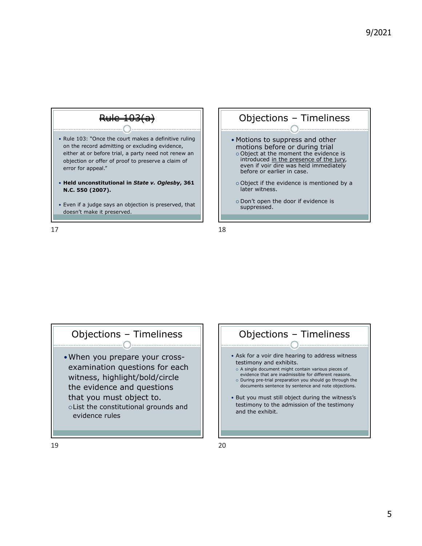

 $17$  and  $18$ 



### Objections – Timeliness

When you prepare your crossexamination questions for each witness, highlight/bold/circle the evidence and questions that you must object to. List the constitutional grounds and evidence rules

## Objections – Timeliness Ask for a voir dire hearing to address witness testimony and exhibits.

- o A single document might contain various pieces of
- evidence that are inadmissible for different reasons. o During pre-trial preparation you should go through the documents sentence by sentence and note objections.
- But you must still object during the witness's testimony to the admission of the testimony and the exhibit.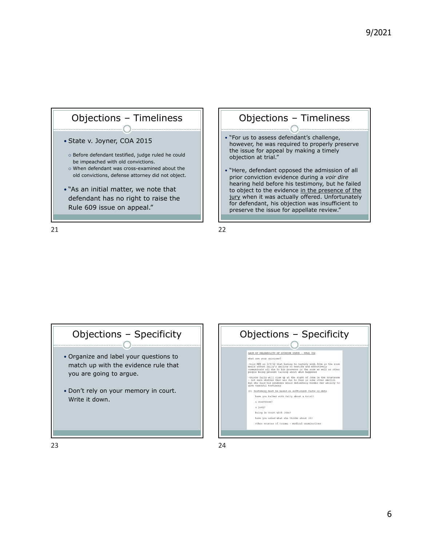



hearing held before his testimony, but he failed to object to the evidence in the presence of the jury when it was actually offered. Unfortunately for defendant, his objection was insufficient to preserve the issue for appellate review."

# Objections – Specificity

- Organize and label your questions to match up with the evidence rule that you are going to argue.
- Don't rely on your memory in court. Write it down.

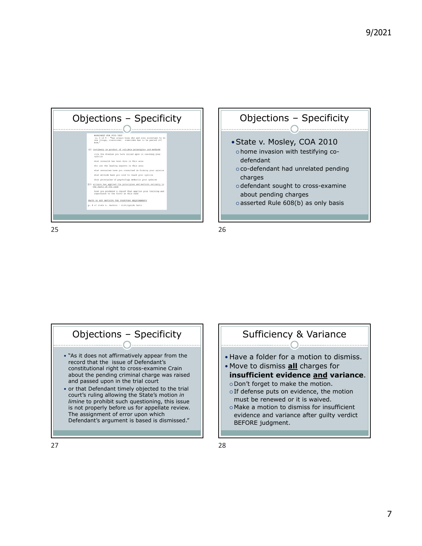





### Objections – Specificity

- "As it does not affirmatively appear from the record that the issue of Defendant's constitutional right to cross-examine Crain about the pending criminal charge was raised and passed upon in the trial court
- or that Defendant timely objected to the trial court's ruling allowing the State's motion *in limine* to prohibit such questioning, this issue is not properly before us for appellate review. The assignment of error upon which Defendant's argument is based is dismissed."

## Sufficiency & Variance

- Have a folder for a motion to dismiss.
- Move to dismiss **all** charges for **insufficient evidence and variance**.
	- o Don't forget to make the motion. o If defense puts on evidence, the motion
- must be renewed or it is waived. Make a motion to dismiss for insufficient evidence and variance after guilty verdict BEFORE judgment.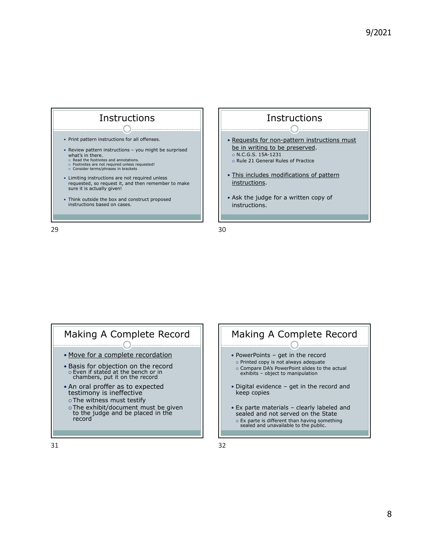



- o The witness must testify
- The exhibit/document must be given to the judge and be placed in the record



**Instructions**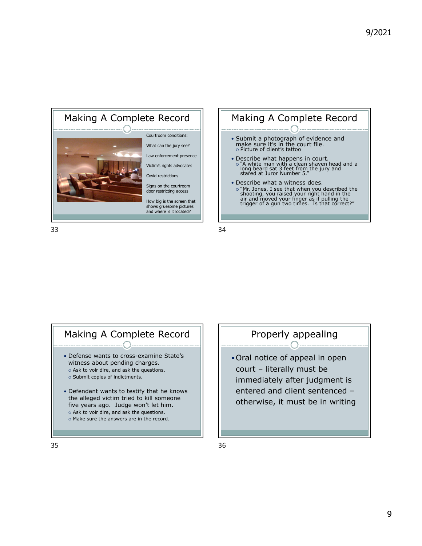



### Making A Complete Record

- Defense wants to cross-examine State's witness about pending charges.
- o Ask to voir dire, and ask the questions. o Submit copies of indictments.
- Defendant wants to testify that he knows the alleged victim tried to kill someone five years ago. Judge won't let him. o Ask to voir dire, and ask the questions.
- o Make sure the answers are in the record.

#### Properly appealing

Oral notice of appeal in open court – literally must be immediately after judgment is entered and client sentenced – otherwise, it must be in writing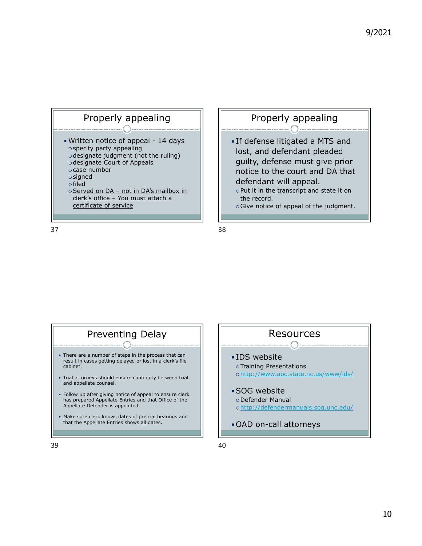

### Properly appealing

- If defense litigated a MTS and lost, and defendant pleaded guilty, defense must give prior notice to the court and DA that defendant will appeal.
	- $\circ$  Put it in the transcript and state it on the record.
	- o Give notice of appeal of the judgment.